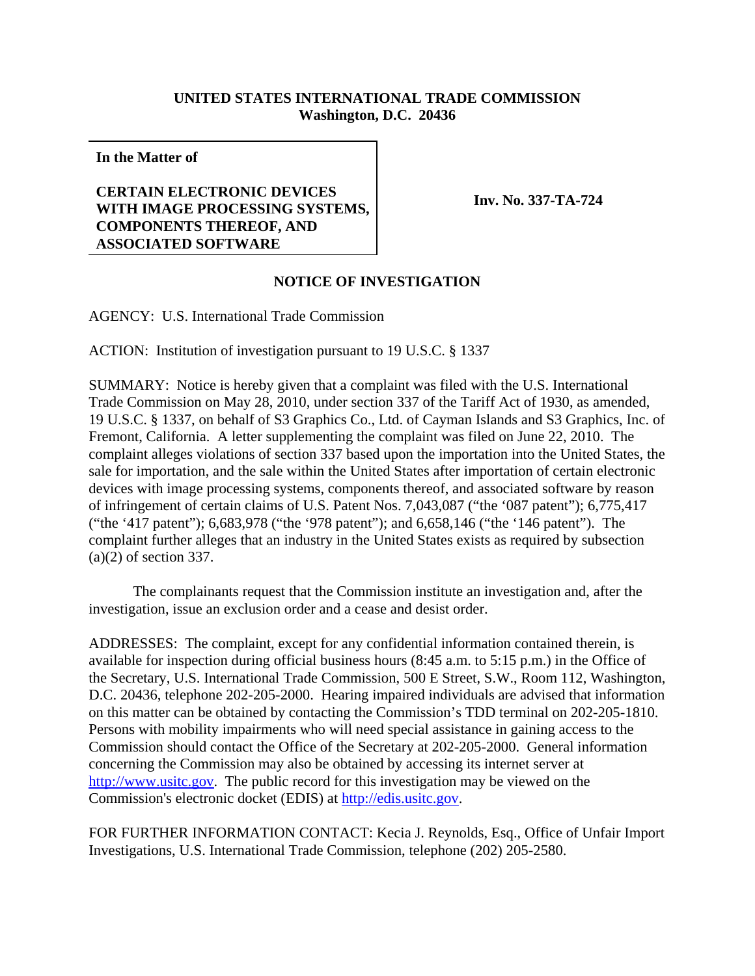## **UNITED STATES INTERNATIONAL TRADE COMMISSION Washington, D.C. 20436**

**In the Matter of**

## **CERTAIN ELECTRONIC DEVICES WITH IMAGE PROCESSING SYSTEMS, COMPONENTS THEREOF, AND ASSOCIATED SOFTWARE**

**Inv. No. 337-TA-724**

## **NOTICE OF INVESTIGATION**

AGENCY: U.S. International Trade Commission

ACTION: Institution of investigation pursuant to 19 U.S.C. § 1337

SUMMARY: Notice is hereby given that a complaint was filed with the U.S. International Trade Commission on May 28, 2010, under section 337 of the Tariff Act of 1930, as amended, 19 U.S.C. § 1337, on behalf of S3 Graphics Co., Ltd. of Cayman Islands and S3 Graphics, Inc. of Fremont, California. A letter supplementing the complaint was filed on June 22, 2010. The complaint alleges violations of section 337 based upon the importation into the United States, the sale for importation, and the sale within the United States after importation of certain electronic devices with image processing systems, components thereof, and associated software by reason of infringement of certain claims of U.S. Patent Nos. 7,043,087 ("the '087 patent"); 6,775,417 ("the '417 patent"); 6,683,978 ("the '978 patent"); and 6,658,146 ("the '146 patent"). The complaint further alleges that an industry in the United States exists as required by subsection (a)(2) of section 337.

The complainants request that the Commission institute an investigation and, after the investigation, issue an exclusion order and a cease and desist order.

ADDRESSES: The complaint, except for any confidential information contained therein, is available for inspection during official business hours (8:45 a.m. to 5:15 p.m.) in the Office of the Secretary, U.S. International Trade Commission, 500 E Street, S.W., Room 112, Washington, D.C. 20436, telephone 202-205-2000. Hearing impaired individuals are advised that information on this matter can be obtained by contacting the Commission's TDD terminal on 202-205-1810. Persons with mobility impairments who will need special assistance in gaining access to the Commission should contact the Office of the Secretary at 202-205-2000. General information concerning the Commission may also be obtained by accessing its internet server at http://www.usitc.gov. The public record for this investigation may be viewed on the Commission's electronic docket (EDIS) at http://edis.usitc.gov.

FOR FURTHER INFORMATION CONTACT: Kecia J. Reynolds, Esq., Office of Unfair Import Investigations, U.S. International Trade Commission, telephone (202) 205-2580.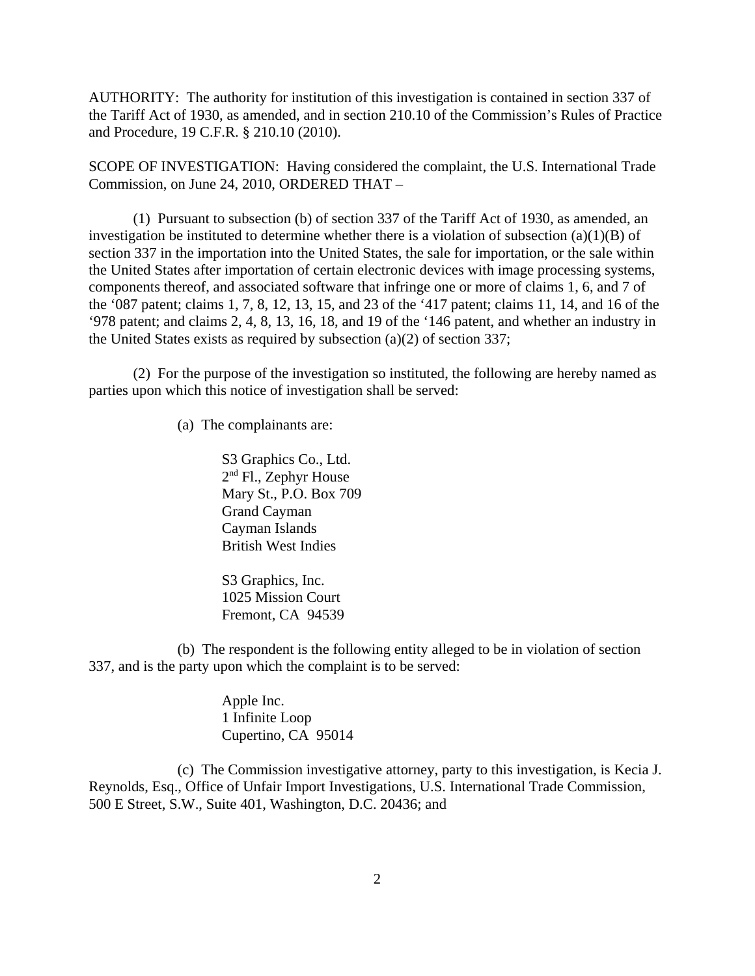AUTHORITY: The authority for institution of this investigation is contained in section 337 of the Tariff Act of 1930, as amended, and in section 210.10 of the Commission's Rules of Practice and Procedure, 19 C.F.R. § 210.10 (2010).

SCOPE OF INVESTIGATION: Having considered the complaint, the U.S. International Trade Commission, on June 24, 2010, ORDERED THAT –

(1) Pursuant to subsection (b) of section 337 of the Tariff Act of 1930, as amended, an investigation be instituted to determine whether there is a violation of subsection  $(a)(1)(B)$  of section 337 in the importation into the United States, the sale for importation, or the sale within the United States after importation of certain electronic devices with image processing systems, components thereof, and associated software that infringe one or more of claims 1, 6, and 7 of the '087 patent; claims 1, 7, 8, 12, 13, 15, and 23 of the '417 patent; claims 11, 14, and 16 of the '978 patent; and claims 2, 4, 8, 13, 16, 18, and 19 of the '146 patent, and whether an industry in the United States exists as required by subsection (a)(2) of section 337;

(2) For the purpose of the investigation so instituted, the following are hereby named as parties upon which this notice of investigation shall be served:

(a) The complainants are:

S3 Graphics Co., Ltd. 2nd Fl., Zephyr House Mary St., P.O. Box 709 Grand Cayman Cayman Islands British West Indies

S<sub>3</sub> Graphics, Inc. 1025 Mission Court Fremont, CA 94539

(b) The respondent is the following entity alleged to be in violation of section 337, and is the party upon which the complaint is to be served:

> Apple Inc. 1 Infinite Loop Cupertino, CA 95014

(c) The Commission investigative attorney, party to this investigation, is Kecia J. Reynolds, Esq., Office of Unfair Import Investigations, U.S. International Trade Commission, 500 E Street, S.W., Suite 401, Washington, D.C. 20436; and